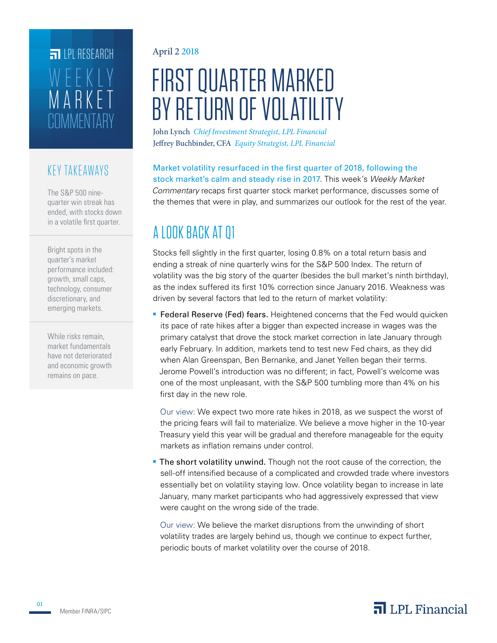# **COMMENTARY** MARKET WEEKLY **FILPI RESEARCH**

### KEY TAKEAWAYS

The S&P 500 ninequarter win streak has ended, with stocks down in a volatile first quarter.

Bright spots in the quarter's market performance included: growth, small caps, technology, consumer discretionary, and emerging markets.

While risks remain, market fundamentals have not deteriorated and economic growth remains on pace.

### April 2 2018

# FIRST QUARTER MARKED BY RETURN OF VOLATILITY

John Lynch *Chief Investment Strategist, LPL Financial* Jeffrey Buchbinder, CFA *Equity Strategist, LPL Financial*

Market volatility resurfaced in the first quarter of 2018, following the stock market's calm and steady rise in 2017. This week's *Weekly Market Commentary* recaps first quarter stock market performance, discusses some of the themes that were in play, and summarizes our outlook for the rest of the year.

# A LOOK BACK AT Q1

Stocks fell slightly in the first quarter, losing 0.8% on a total return basis and ending a streak of nine quarterly wins for the S&P 500 Index. The return of volatility was the big story of the quarter (besides the bull market's ninth birthday), as the index suffered its first 10% correction since January 2016. Weakness was driven by several factors that led to the return of market volatility:

**Federal Reserve (Fed) fears.** Heightened concerns that the Fed would quicken its pace of rate hikes after a bigger than expected increase in wages was the primary catalyst that drove the stock market correction in late January through early February. In addition, markets tend to test new Fed chairs, as they did when Alan Greenspan, Ben Bernanke, and Janet Yellen began their terms. Jerome Powell's introduction was no different; in fact, Powell's welcome was one of the most unpleasant, with the S&P 500 tumbling more than 4% on his first day in the new role.

Our view: We expect two more rate hikes in 2018, as we suspect the worst of the pricing fears will fail to materialize. We believe a move higher in the 10-year Treasury yield this year will be gradual and therefore manageable for the equity markets as inflation remains under control.

**The short volatility unwind.** Though not the root cause of the correction, the sell-off intensified because of a complicated and crowded trade where investors essentially bet on volatility staying low. Once volatility began to increase in late January, many market participants who had aggressively expressed that view were caught on the wrong side of the trade.

Our view: We believe the market disruptions from the unwinding of short volatility trades are largely behind us, though we continue to expect further, periodic bouts of market volatility over the course of 2018.

01

# $\overline{\mathbf{a}}$  LPL Financial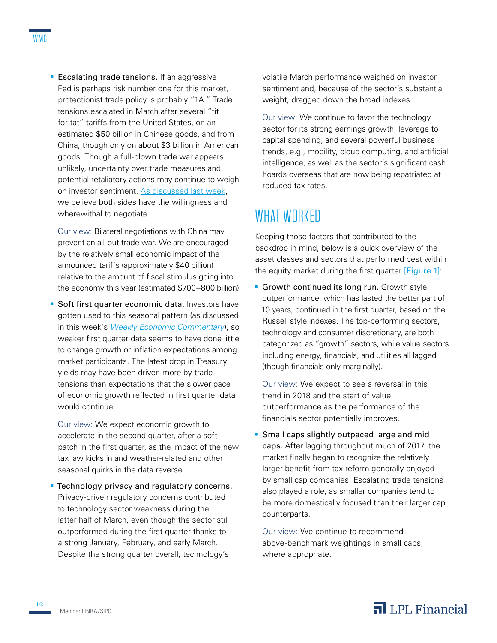**Escalating trade tensions.** If an aggressive Fed is perhaps risk number one for this market, protectionist trade policy is probably "1A." Trade tensions escalated in March after several "tit for tat" tariffs from the United States, on an estimated \$50 billion in Chinese goods, and from China, though only on about \$3 billion in American goods. Though a full-blown trade war appears unlikely, uncertainty over trade measures and potential retaliatory actions may continue to weigh on investor sentiment. As discussed last week, we believe both sides have the willingness and wherewithal to negotiate.

Our view: Bilateral negotiations with China may prevent an all-out trade war. We are encouraged by the relatively small economic impact of the announced tariffs (approximately \$40 billion) relative to the amount of fiscal stimulus going into the economy this year (estimated \$700–800 billion).

**Soft first quarter economic data.** Investors have gotten used to this seasonal pattern (as discussed in this week's *Weekly Economic Commentary*), so weaker first quarter data seems to have done little to change growth or inflation expectations among market participants. The latest drop in Treasury yields may have been driven more by trade tensions than expectations that the slower pace of economic growth reflected in first quarter data would continue.

Our view: We expect economic growth to accelerate in the second quarter, after a soft patch in the first quarter, as the impact of the new tax law kicks in and weather-related and other seasonal quirks in the data reverse.

**Technology privacy and regulatory concerns.** Privacy-driven regulatory concerns contributed to technology sector weakness during the latter half of March, even though the sector still outperformed during the first quarter thanks to a strong January, February, and early March. Despite the strong quarter overall, technology's

volatile March performance weighed on investor sentiment and, because of the sector's substantial weight, dragged down the broad indexes.

Our view: We continue to favor the technology sector for its strong earnings growth, leverage to capital spending, and several powerful business trends, e.g., mobility, cloud computing, and artificial intelligence, as well as the sector's significant cash hoards overseas that are now being repatriated at reduced tax rates.

# WHAT WORKED

Keeping those factors that contributed to the backdrop in mind, below is a quick overview of the asset classes and sectors that performed best within the equity market during the first quarter [Figure 1]:

**Growth continued its long run.** Growth style outperformance, which has lasted the better part of 10 years, continued in the first quarter, based on the Russell style indexes. The top-performing sectors, technology and consumer discretionary, are both categorized as "growth" sectors, while value sectors including energy, financials, and utilities all lagged (though financials only marginally).

Our view: We expect to see a reversal in this trend in 2018 and the start of value outperformance as the performance of the financials sector potentially improves.

**Small caps slightly outpaced large and mid**caps. After lagging throughout much of 2017, the market finally began to recognize the relatively larger benefit from tax reform generally enjoyed by small cap companies. Escalating trade tensions also played a role, as smaller companies tend to be more domestically focused than their larger cap counterparts.

Our view: We continue to recommend above-benchmark weightings in small caps, where appropriate.

# $\overline{\mathbf{a}}$  LPL Financial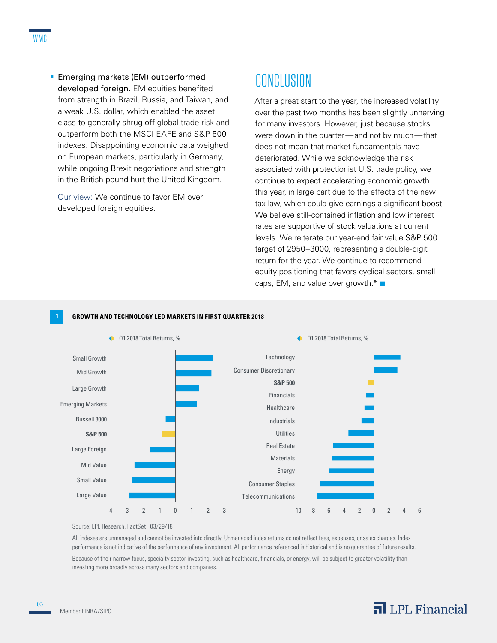**Emerging markets (EM) outperformed** developed foreign. EM equities benefited from strength in Brazil, Russia, and Taiwan, and a weak U.S. dollar, which enabled the asset class to generally shrug off global trade risk and outperform both the MSCI EAFE and S&P 500 indexes. Disappointing economic data weighed on European markets, particularly in Germany, while ongoing Brexit negotiations and strength in the British pound hurt the United Kingdom.

Our view: We continue to favor EM over developed foreign equities.

# **CONCLUSION**

After a great start to the year, the increased volatility over the past two months has been slightly unnerving for many investors. However, just because stocks were down in the quarter—and not by much—that does not mean that market fundamentals have deteriorated. While we acknowledge the risk associated with protectionist U.S. trade policy, we continue to expect accelerating economic growth this year, in large part due to the effects of the new tax law, which could give earnings a significant boost. We believe still-contained inflation and low interest rates are supportive of stock valuations at current levels. We reiterate our year-end fair value S&P 500 target of 2950–3000, representing a double-digit return for the year. We continue to recommend equity positioning that favors cyclical sectors, small caps, EM, and value over growth. $* \blacksquare$ 



### **1 GROWTH AND TECHNOLOGY LED MARKETS IN FIRST QUARTER 2018**

#### Source: LPL Research, FactSet 03/29/18

All indexes are unmanaged and cannot be invested into directly. Unmanaged index returns do not reflect fees, expenses, or sales charges. Index performance is not indicative of the performance of any investment. All performance referenced is historical and is no guarantee of future results. Because of their narrow focus, specialty sector investing, such as healthcare, financials, or energy, will be subject to greater volatility than investing more broadly across many sectors and companies.

### $\overline{\mathbf{a}}$  LPL Financial

03